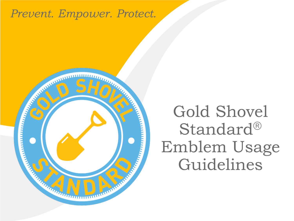#### *Prevent. Empower. Protect.*



### Gold Shovel Standard® Emblem Usage Guidelines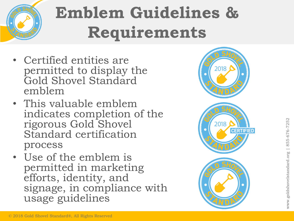

# **Emblem Guidelines & Requirements**

- Certified entities are permitted to display the Gold Shovel Standard emblem
- This valuable emblem indicates completion of the rigorous Gold Shovel Standard certification process
- Use of the emblem is permitted in marketing efforts, identity, and signage, in compliance with usage guidelines

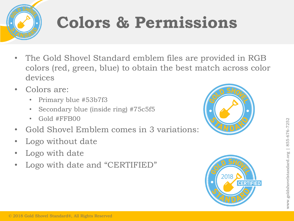

# **Colors & Permissions**

- The Gold Shovel Standard emblem files are provided in RGB colors (red, green, blue) to obtain the best match across color devices
- Colors are:
	- Primary blue #53b7f3
	- Secondary blue (inside ring) #75c5f5
	- Gold #FFB00
- Gold Shovel Emblem comes in 3 variations:
- Logo without date
- Logo with date
- Logo with date and "CERTIFIED"



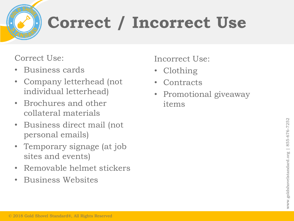# **Correct / Incorrect Use**

Correct Use:

- Business cards
- Company letterhead (not individual letterhead)
- Brochures and other collateral materials
- Business direct mail (not personal emails)
- Temporary signage (at job sites and events)
- Removable helmet stickers
- Business Websites

Incorrect Use:

- Clothing
- Contracts
- Promotional giveaway items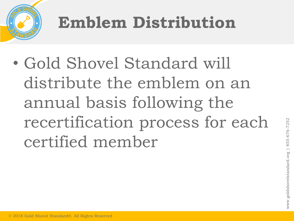

# **Emblem Distribution**

• Gold Shovel Standard will distribute the emblem on an annual basis following the recertification process for each certified member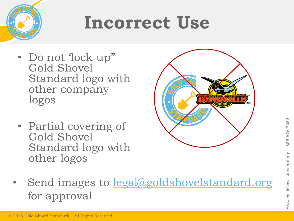

## **Incorrect Use**

- Do not 'lock up" Gold Shovel Standard logo with other company logos
- Partial covering of Gold Shovel Standard logo with other logos



Send images to [legal@goldshovelstandard.org](mailto:legal@goldshovelstandard.org) for approval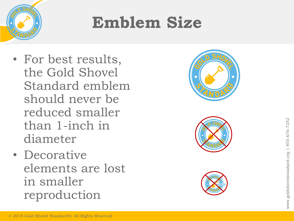

### **Emblem Size**

- For best results,<br>the Gold Shovel<br>Standard emblen<br>should never be<br>reduced smaller<br>than 1-inch in<br>diameter<br>• Decorative<br>elements are lost<br>in smaller<br>reproduction<br>exparations, All Rights Reserved the Gold Shovel Standard emblem should never be reduced smaller than 1 -inch in diameter
	- Decorative elements are lost in smaller reproduction





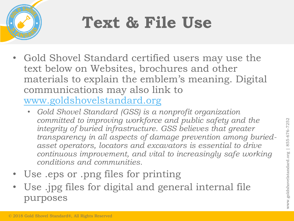

## **Text & File Use**

- Gold Shovel Standard certified users may use the text below on Websites, brochures and other materials to explain the emblem's meaning. Digital communications may also link to [www.goldshovelstandard.org](http://www.goldshovelstandard.org/)
	- *Gold Shovel Standard (GSS) is a nonprofit organization committed to improving workforce and public safety and the integrity of buried infrastructure. GSS believes that greater transparency in all aspects of damage prevention among buriedasset operators, locators and excavators is essential to drive continuous improvement, and vital to increasingly safe working conditions and communities.*
- Use .eps or .png files for printing
- Use .jpg files for digital and general internal file purposes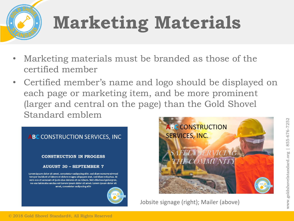# **Marketing Materials**

- Marketing materials must be branded as those of the certified member
- Certified member's name and logo should be displayed on each page or marketing item, and be more prominent (larger and central on the page) than the Gold Shovel Standard emblem





Jobsite signage (right); Mailer (above)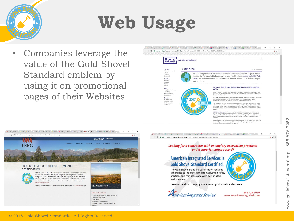

# **Web Usage**

value of the Gold Shovel Standard emblem by using it on promotional pages of their Websites





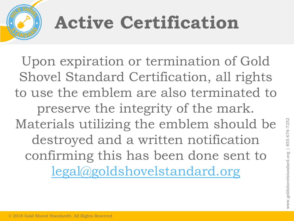# **Active Certification**

Upon expiration or termination of Gold Shovel Standard Certification, all rights to use the emblem are also terminated to preserve the integrity of the mark. Materials utilizing the emblem should be destroyed and a written notification confirming this has been done sent to [legal@goldshovelstandard.org](mailto:legal@goldshovelstandard.org)